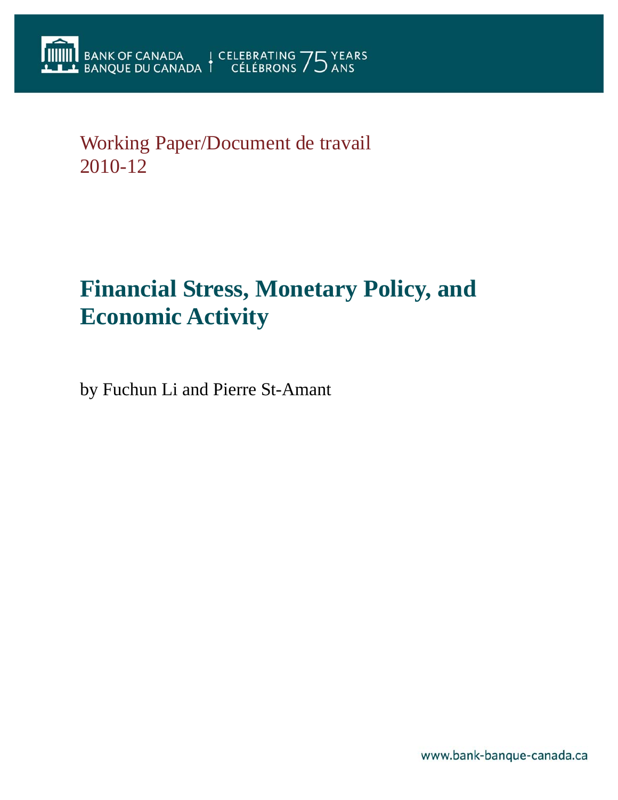## Working Paper/Document de travail 2010-12

# **Financial Stress, Monetary Policy, and Economic Activity**

by Fuchun Li and Pierre St-Amant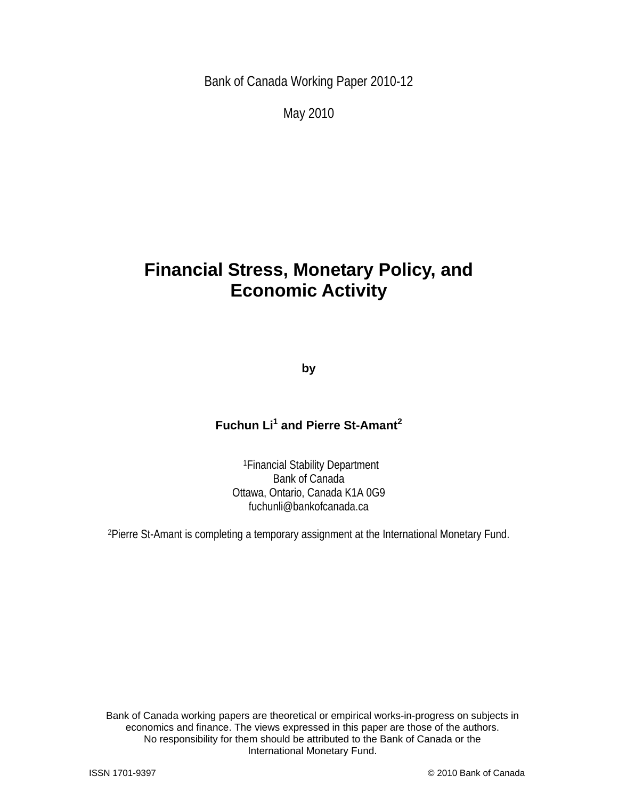Bank of Canada Working Paper 2010-12

May 2010

## **Financial Stress, Monetary Policy, and Economic Activity**

**by** 

#### **Fuchun Li<sup>1</sup> and Pierre St-Amant<sup>2</sup>**

1Financial Stability Department Bank of Canada Ottawa, Ontario, Canada K1A 0G9 fuchunli@bankofcanada.ca

2Pierre St-Amant is completing a temporary assignment at the International Monetary Fund.

2 International Monetary Fund. Bank of Canada working papers are theoretical or empirical works-in-progress on subjects in economics and finance. The views expressed in this paper are those of the authors. No responsibility for them should be attributed to the Bank of Canada or the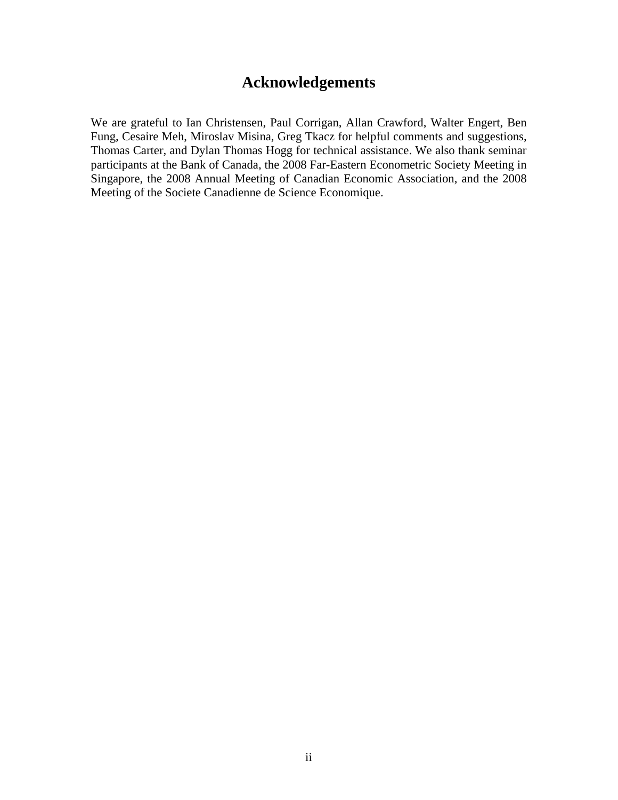### **Acknowledgements**

We are grateful to Ian Christensen, Paul Corrigan, Allan Crawford, Walter Engert, Ben Fung, Cesaire Meh, Miroslav Misina, Greg Tkacz for helpful comments and suggestions, Thomas Carter, and Dylan Thomas Hogg for technical assistance. We also thank seminar participants at the Bank of Canada, the 2008 Far-Eastern Econometric Society Meeting in Singapore, the 2008 Annual Meeting of Canadian Economic Association, and the 2008 Meeting of the Societe Canadienne de Science Economique.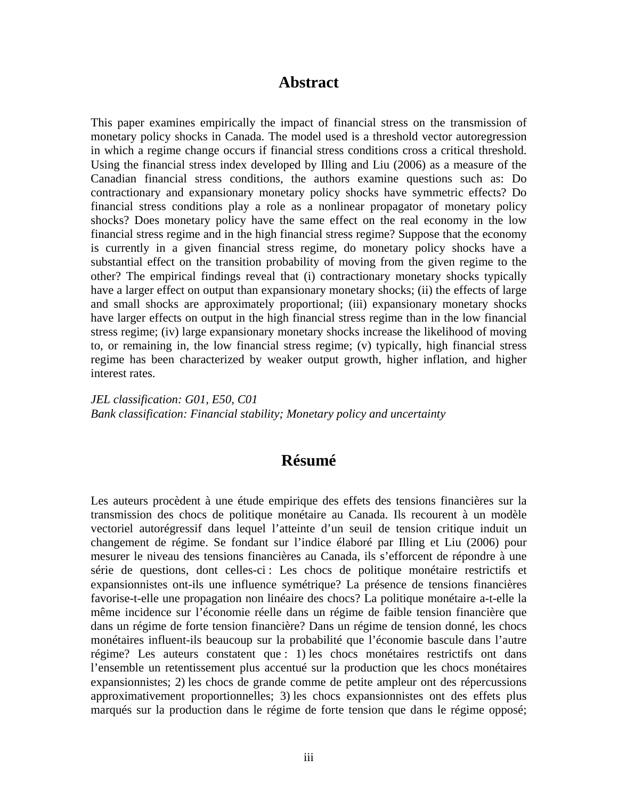#### **Abstract**

This paper examines empirically the impact of financial stress on the transmission of monetary policy shocks in Canada. The model used is a threshold vector autoregression in which a regime change occurs if financial stress conditions cross a critical threshold. Using the financial stress index developed by Illing and Liu (2006) as a measure of the Canadian financial stress conditions, the authors examine questions such as: Do contractionary and expansionary monetary policy shocks have symmetric effects? Do financial stress conditions play a role as a nonlinear propagator of monetary policy shocks? Does monetary policy have the same effect on the real economy in the low financial stress regime and in the high financial stress regime? Suppose that the economy is currently in a given financial stress regime, do monetary policy shocks have a substantial effect on the transition probability of moving from the given regime to the other? The empirical findings reveal that (i) contractionary monetary shocks typically have a larger effect on output than expansionary monetary shocks; (ii) the effects of large and small shocks are approximately proportional; (iii) expansionary monetary shocks have larger effects on output in the high financial stress regime than in the low financial stress regime; (iv) large expansionary monetary shocks increase the likelihood of moving to, or remaining in, the low financial stress regime; (v) typically, high financial stress regime has been characterized by weaker output growth, higher inflation, and higher interest rates.

*JEL classification: G01, E50, C01 Bank classification: Financial stability; Monetary policy and uncertainty* 

#### **Résumé**

Les auteurs procèdent à une étude empirique des effets des tensions financières sur la transmission des chocs de politique monétaire au Canada. Ils recourent à un modèle vectoriel autorégressif dans lequel l'atteinte d'un seuil de tension critique induit un changement de régime. Se fondant sur l'indice élaboré par Illing et Liu (2006) pour mesurer le niveau des tensions financières au Canada, ils s'efforcent de répondre à une série de questions, dont celles-ci : Les chocs de politique monétaire restrictifs et expansionnistes ont-ils une influence symétrique? La présence de tensions financières favorise-t-elle une propagation non linéaire des chocs? La politique monétaire a-t-elle la même incidence sur l'économie réelle dans un régime de faible tension financière que dans un régime de forte tension financière? Dans un régime de tension donné, les chocs monétaires influent-ils beaucoup sur la probabilité que l'économie bascule dans l'autre régime? Les auteurs constatent que : 1) les chocs monétaires restrictifs ont dans l'ensemble un retentissement plus accentué sur la production que les chocs monétaires expansionnistes; 2) les chocs de grande comme de petite ampleur ont des répercussions approximativement proportionnelles; 3) les chocs expansionnistes ont des effets plus marqués sur la production dans le régime de forte tension que dans le régime opposé;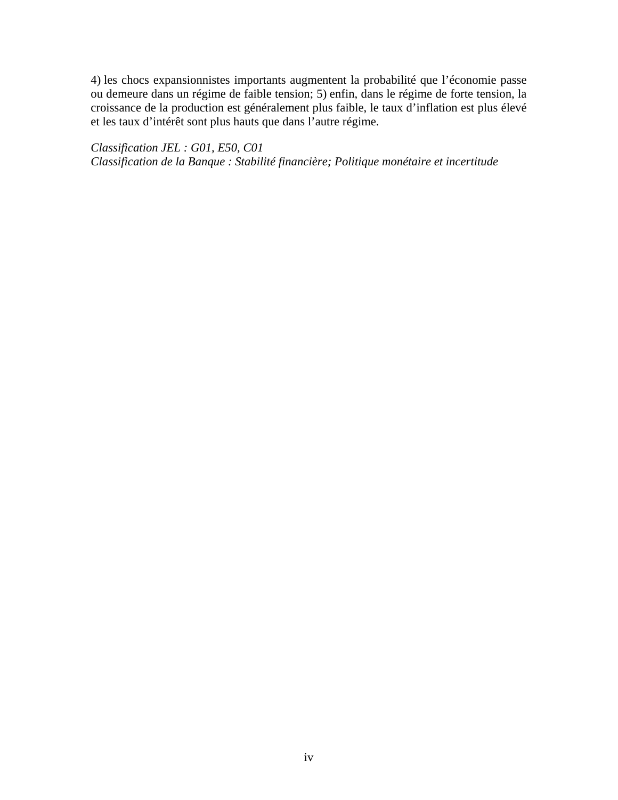4) les chocs expansionnistes importants augmentent la probabilité que l'économie passe ou demeure dans un régime de faible tension; 5) enfin, dans le régime de forte tension, la croissance de la production est généralement plus faible, le taux d'inflation est plus élevé et les taux d'intérêt sont plus hauts que dans l'autre régime.

*Classification JEL : G01, E50, C01 Classification de la Banque : Stabilité financière; Politique monétaire et incertitude*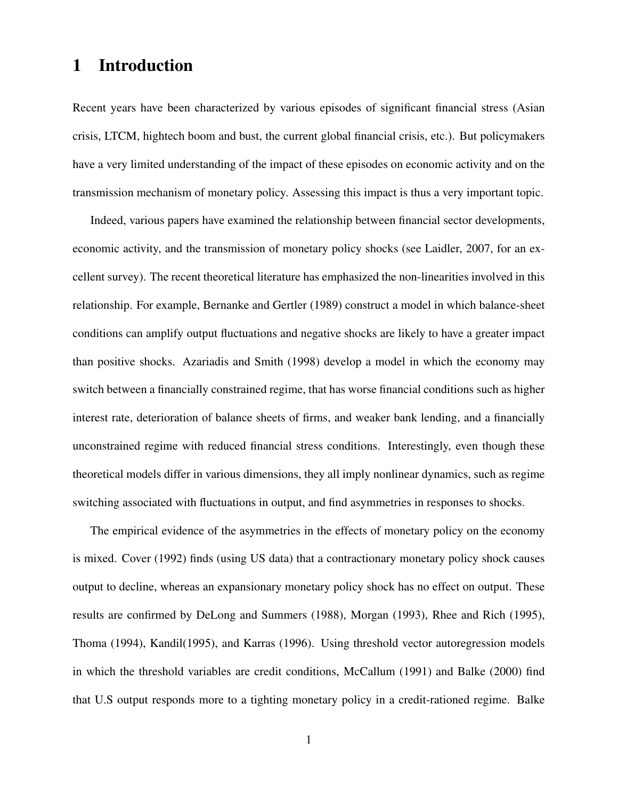## 1 Introduction

Recent years have been characterized by various episodes of significant financial stress (Asian crisis, LTCM, hightech boom and bust, the current global financial crisis, etc.). But policymakers have a very limited understanding of the impact of these episodes on economic activity and on the transmission mechanism of monetary policy. Assessing this impact is thus a very important topic.

Indeed, various papers have examined the relationship between financial sector developments, economic activity, and the transmission of monetary policy shocks (see Laidler, 2007, for an excellent survey). The recent theoretical literature has emphasized the non-linearities involved in this relationship. For example, Bernanke and Gertler (1989) construct a model in which balance-sheet conditions can amplify output fluctuations and negative shocks are likely to have a greater impact than positive shocks. Azariadis and Smith (1998) develop a model in which the economy may switch between a financially constrained regime, that has worse financial conditions such as higher interest rate, deterioration of balance sheets of firms, and weaker bank lending, and a financially unconstrained regime with reduced financial stress conditions. Interestingly, even though these theoretical models differ in various dimensions, they all imply nonlinear dynamics, such as regime switching associated with fluctuations in output, and find asymmetries in responses to shocks.

The empirical evidence of the asymmetries in the effects of monetary policy on the economy is mixed. Cover (1992) finds (using US data) that a contractionary monetary policy shock causes output to decline, whereas an expansionary monetary policy shock has no effect on output. These results are confirmed by DeLong and Summers (1988), Morgan (1993), Rhee and Rich (1995), Thoma (1994), Kandil(1995), and Karras (1996). Using threshold vector autoregression models in which the threshold variables are credit conditions, McCallum (1991) and Balke (2000) find that U.S output responds more to a tighting monetary policy in a credit-rationed regime. Balke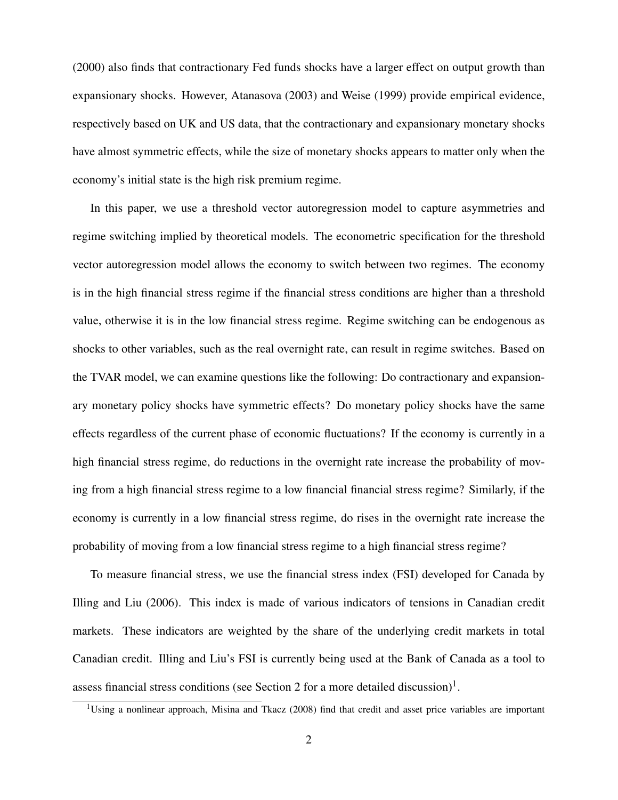(2000) also finds that contractionary Fed funds shocks have a larger effect on output growth than expansionary shocks. However, Atanasova (2003) and Weise (1999) provide empirical evidence, respectively based on UK and US data, that the contractionary and expansionary monetary shocks have almost symmetric effects, while the size of monetary shocks appears to matter only when the economy's initial state is the high risk premium regime.

In this paper, we use a threshold vector autoregression model to capture asymmetries and regime switching implied by theoretical models. The econometric specification for the threshold vector autoregression model allows the economy to switch between two regimes. The economy is in the high financial stress regime if the financial stress conditions are higher than a threshold value, otherwise it is in the low financial stress regime. Regime switching can be endogenous as shocks to other variables, such as the real overnight rate, can result in regime switches. Based on the TVAR model, we can examine questions like the following: Do contractionary and expansionary monetary policy shocks have symmetric effects? Do monetary policy shocks have the same effects regardless of the current phase of economic fluctuations? If the economy is currently in a high financial stress regime, do reductions in the overnight rate increase the probability of moving from a high financial stress regime to a low financial financial stress regime? Similarly, if the economy is currently in a low financial stress regime, do rises in the overnight rate increase the probability of moving from a low financial stress regime to a high financial stress regime?

To measure financial stress, we use the financial stress index (FSI) developed for Canada by Illing and Liu (2006). This index is made of various indicators of tensions in Canadian credit markets. These indicators are weighted by the share of the underlying credit markets in total Canadian credit. Illing and Liu's FSI is currently being used at the Bank of Canada as a tool to assess financial stress conditions (see Section 2 for a more detailed discussion)<sup>1</sup>.

<sup>&</sup>lt;sup>1</sup>Using a nonlinear approach, Misina and Tkacz (2008) find that credit and asset price variables are important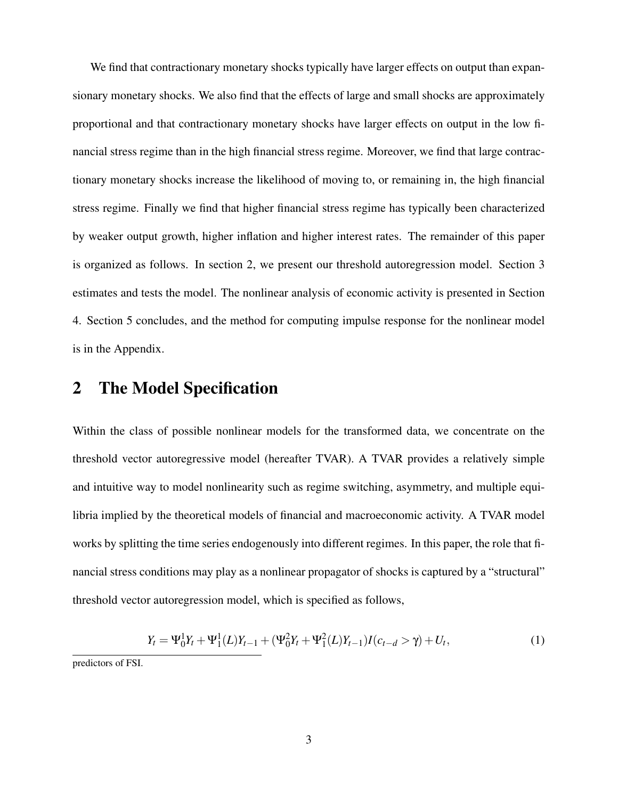We find that contractionary monetary shocks typically have larger effects on output than expansionary monetary shocks. We also find that the effects of large and small shocks are approximately proportional and that contractionary monetary shocks have larger effects on output in the low financial stress regime than in the high financial stress regime. Moreover, we find that large contractionary monetary shocks increase the likelihood of moving to, or remaining in, the high financial stress regime. Finally we find that higher financial stress regime has typically been characterized by weaker output growth, higher inflation and higher interest rates. The remainder of this paper is organized as follows. In section 2, we present our threshold autoregression model. Section 3 estimates and tests the model. The nonlinear analysis of economic activity is presented in Section 4. Section 5 concludes, and the method for computing impulse response for the nonlinear model is in the Appendix.

## 2 The Model Specification

Within the class of possible nonlinear models for the transformed data, we concentrate on the threshold vector autoregressive model (hereafter TVAR). A TVAR provides a relatively simple and intuitive way to model nonlinearity such as regime switching, asymmetry, and multiple equilibria implied by the theoretical models of financial and macroeconomic activity. A TVAR model works by splitting the time series endogenously into different regimes. In this paper, the role that financial stress conditions may play as a nonlinear propagator of shocks is captured by a "structural" threshold vector autoregression model, which is specified as follows,

$$
Y_t = \Psi_0^1 Y_t + \Psi_1^1(L) Y_{t-1} + (\Psi_0^2 Y_t + \Psi_1^2(L) Y_{t-1}) I(c_{t-d} > \gamma) + U_t,
$$
\n(1)

predictors of FSI.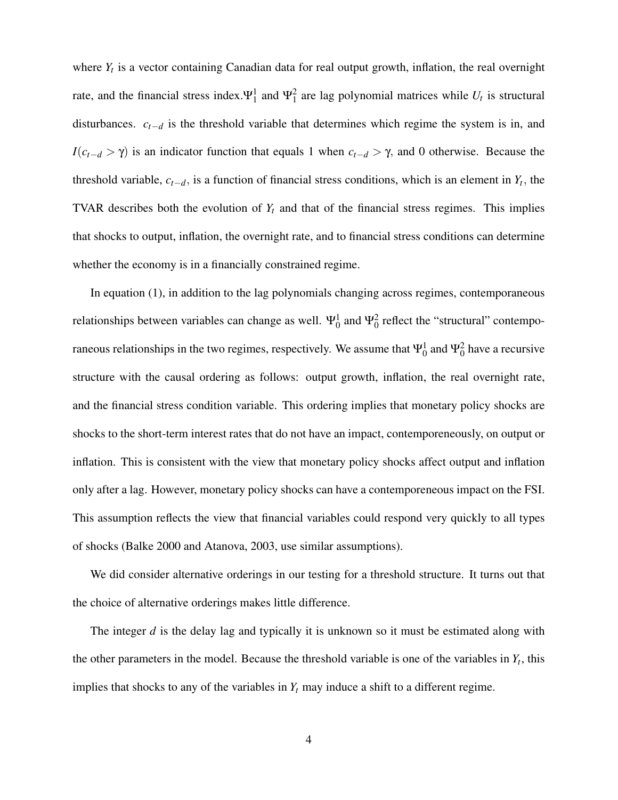where *Y<sup>t</sup>* is a vector containing Canadian data for real output growth, inflation, the real overnight rate, and the financial stress index.  $\Psi_1^1$  and  $\Psi_1^2$  are lag polynomial matrices while  $U_t$  is structural disturbances. *ct*−*<sup>d</sup>* is the threshold variable that determines which regime the system is in, and *I*( $c_{t-d}$  >  $\gamma$ ) is an indicator function that equals 1 when  $c_{t-d}$  >  $\gamma$ , and 0 otherwise. Because the threshold variable,  $c_{t-d}$ , is a function of financial stress conditions, which is an element in  $Y_t$ , the TVAR describes both the evolution of  $Y_t$  and that of the financial stress regimes. This implies that shocks to output, inflation, the overnight rate, and to financial stress conditions can determine whether the economy is in a financially constrained regime.

In equation (1), in addition to the lag polynomials changing across regimes, contemporaneous relationships between variables can change as well.  $\Psi_0^1$  and  $\Psi_0^2$  reflect the "structural" contemporaneous relationships in the two regimes, respectively. We assume that  $\Psi_0^1$  and  $\Psi_0^2$  have a recursive structure with the causal ordering as follows: output growth, inflation, the real overnight rate, and the financial stress condition variable. This ordering implies that monetary policy shocks are shocks to the short-term interest rates that do not have an impact, contemporeneously, on output or inflation. This is consistent with the view that monetary policy shocks affect output and inflation only after a lag. However, monetary policy shocks can have a contemporeneous impact on the FSI. This assumption reflects the view that financial variables could respond very quickly to all types of shocks (Balke 2000 and Atanova, 2003, use similar assumptions).

We did consider alternative orderings in our testing for a threshold structure. It turns out that the choice of alternative orderings makes little difference.

The integer *d* is the delay lag and typically it is unknown so it must be estimated along with the other parameters in the model. Because the threshold variable is one of the variables in  $Y_t$ , this implies that shocks to any of the variables in  $Y_t$  may induce a shift to a different regime.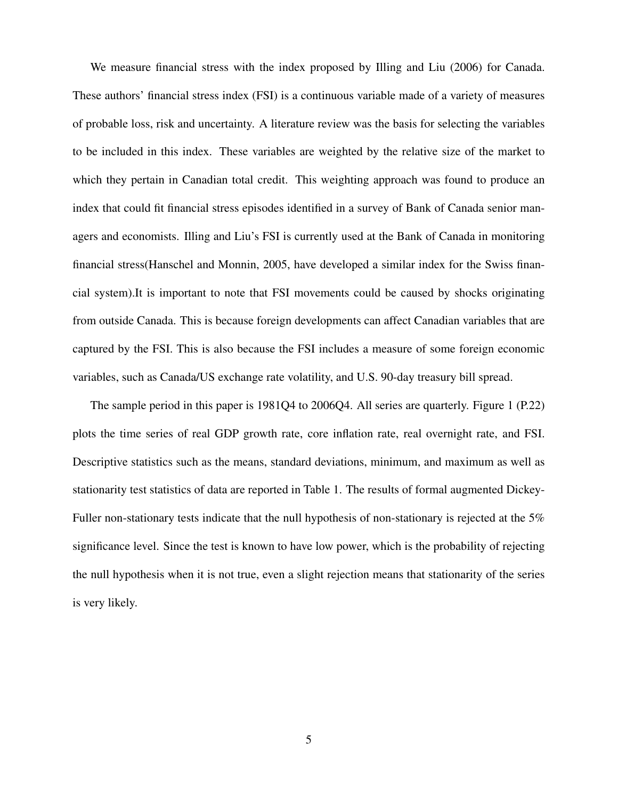We measure financial stress with the index proposed by Illing and Liu (2006) for Canada. These authors' financial stress index (FSI) is a continuous variable made of a variety of measures of probable loss, risk and uncertainty. A literature review was the basis for selecting the variables to be included in this index. These variables are weighted by the relative size of the market to which they pertain in Canadian total credit. This weighting approach was found to produce an index that could fit financial stress episodes identified in a survey of Bank of Canada senior managers and economists. Illing and Liu's FSI is currently used at the Bank of Canada in monitoring financial stress(Hanschel and Monnin, 2005, have developed a similar index for the Swiss financial system).It is important to note that FSI movements could be caused by shocks originating from outside Canada. This is because foreign developments can affect Canadian variables that are captured by the FSI. This is also because the FSI includes a measure of some foreign economic variables, such as Canada/US exchange rate volatility, and U.S. 90-day treasury bill spread.

The sample period in this paper is 1981Q4 to 2006Q4. All series are quarterly. Figure 1 (P.22) plots the time series of real GDP growth rate, core inflation rate, real overnight rate, and FSI. Descriptive statistics such as the means, standard deviations, minimum, and maximum as well as stationarity test statistics of data are reported in Table 1. The results of formal augmented Dickey-Fuller non-stationary tests indicate that the null hypothesis of non-stationary is rejected at the 5% significance level. Since the test is known to have low power, which is the probability of rejecting the null hypothesis when it is not true, even a slight rejection means that stationarity of the series is very likely.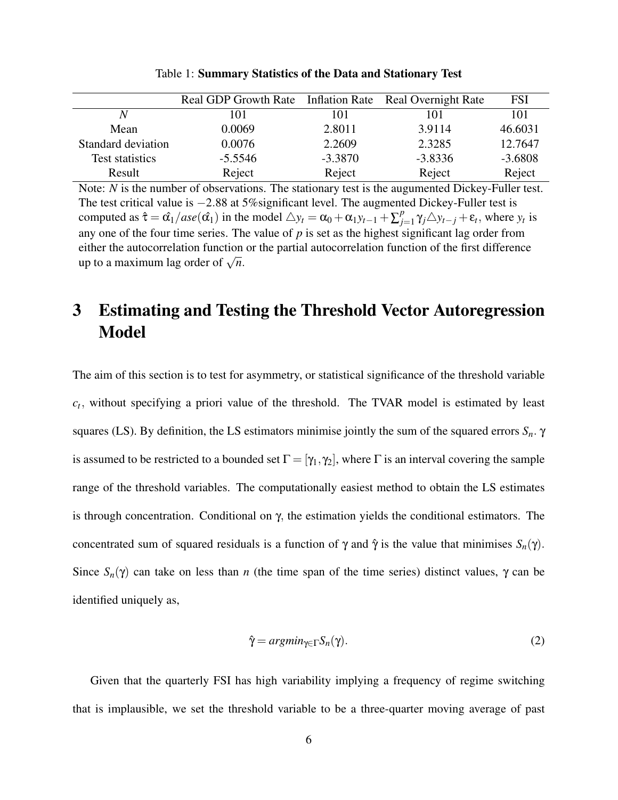|                    | Real GDP Growth Rate Inflation Rate Real Overnight Rate |           |           | <b>FSI</b> |
|--------------------|---------------------------------------------------------|-----------|-----------|------------|
|                    | 101                                                     | 101       | 101       | 101        |
| Mean               | 0.0069                                                  | 2.8011    | 3.9114    | 46.6031    |
| Standard deviation | 0.0076                                                  | 2.2609    | 2.3285    | 12.7647    |
| Test statistics    | $-5.5546$                                               | $-3.3870$ | $-3.8336$ | $-3.6808$  |
| Result             | Reject                                                  | Reject    | Reject    | Reject     |

Table 1: Summary Statistics of the Data and Stationary Test

Note: *N* is the number of observations. The stationary test is the augumented Dickey-Fuller test. The test critical value is −2.88 at 5%significant level. The augmented Dickey-Fuller test is computed as  $\hat{\tau} = \hat{\alpha_1}/ase(\hat{\alpha_1})$  in the model  $\triangle y_t = \alpha_0 + \alpha_1 y_{t-1} + \sum_{j=1}^{p}$  $y_{j=1}^{p} \gamma_{j} \triangle y_{t-j} + \varepsilon_{t}$ , where  $y_{t}$  is any one of the four time series. The value of  $p$  is set as the highest significant lag order from either the autocorrelation function or the partial autocorrelation function of the first difference ender the autocorrelation function<br>up to a maximum lag order of  $\sqrt{n}$ .

## 3 Estimating and Testing the Threshold Vector Autoregression Model

The aim of this section is to test for asymmetry, or statistical significance of the threshold variable  $c_t$ , without specifying a priori value of the threshold. The TVAR model is estimated by least squares (LS). By definition, the LS estimators minimise jointly the sum of the squared errors *Sn*. γ is assumed to be restricted to a bounded set  $\Gamma = [\gamma_1, \gamma_2]$ , where  $\Gamma$  is an interval covering the sample range of the threshold variables. The computationally easiest method to obtain the LS estimates is through concentration. Conditional on γ, the estimation yields the conditional estimators. The concentrated sum of squared residuals is a function of  $\gamma$  and  $\hat{\gamma}$  is the value that minimises  $S_n(\gamma)$ . Since  $S_n(\gamma)$  can take on less than *n* (the time span of the time series) distinct values,  $\gamma$  can be identified uniquely as,

$$
\hat{\gamma} = argmin_{\gamma \in \Gamma} S_n(\gamma). \tag{2}
$$

Given that the quarterly FSI has high variability implying a frequency of regime switching that is implausible, we set the threshold variable to be a three-quarter moving average of past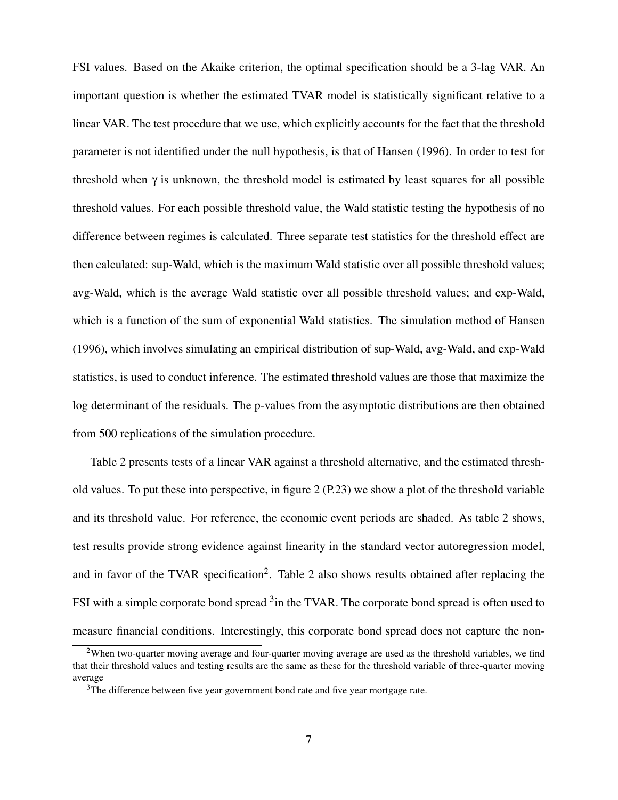FSI values. Based on the Akaike criterion, the optimal specification should be a 3-lag VAR. An important question is whether the estimated TVAR model is statistically significant relative to a linear VAR. The test procedure that we use, which explicitly accounts for the fact that the threshold parameter is not identified under the null hypothesis, is that of Hansen (1996). In order to test for threshold when  $\gamma$  is unknown, the threshold model is estimated by least squares for all possible threshold values. For each possible threshold value, the Wald statistic testing the hypothesis of no difference between regimes is calculated. Three separate test statistics for the threshold effect are then calculated: sup-Wald, which is the maximum Wald statistic over all possible threshold values; avg-Wald, which is the average Wald statistic over all possible threshold values; and exp-Wald, which is a function of the sum of exponential Wald statistics. The simulation method of Hansen (1996), which involves simulating an empirical distribution of sup-Wald, avg-Wald, and exp-Wald statistics, is used to conduct inference. The estimated threshold values are those that maximize the log determinant of the residuals. The p-values from the asymptotic distributions are then obtained from 500 replications of the simulation procedure.

Table 2 presents tests of a linear VAR against a threshold alternative, and the estimated threshold values. To put these into perspective, in figure 2 (P.23) we show a plot of the threshold variable and its threshold value. For reference, the economic event periods are shaded. As table 2 shows, test results provide strong evidence against linearity in the standard vector autoregression model, and in favor of the TVAR specification<sup>2</sup>. Table 2 also shows results obtained after replacing the FSI with a simple corporate bond spread <sup>3</sup> in the TVAR. The corporate bond spread is often used to measure financial conditions. Interestingly, this corporate bond spread does not capture the non-

<sup>&</sup>lt;sup>2</sup>When two-quarter moving average and four-quarter moving average are used as the threshold variables, we find that their threshold values and testing results are the same as these for the threshold variable of three-quarter moving average

<sup>&</sup>lt;sup>3</sup>The difference between five year government bond rate and five year mortgage rate.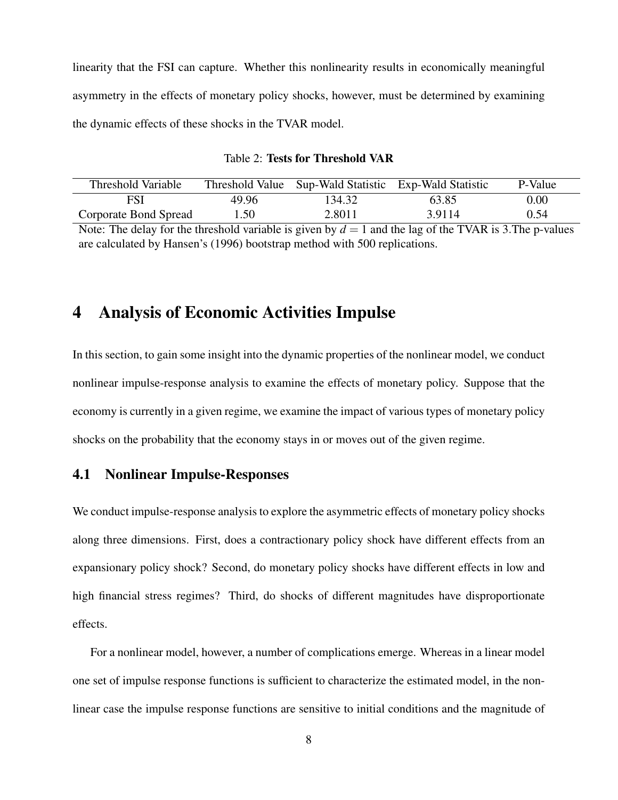linearity that the FSI can capture. Whether this nonlinearity results in economically meaningful asymmetry in the effects of monetary policy shocks, however, must be determined by examining the dynamic effects of these shocks in the TVAR model.

| Table 2: Tests for Threshold VAR |
|----------------------------------|
|----------------------------------|

| Threshold Variable    |       | Threshold Value Sup-Wald Statistic Exp-Wald Statistic |        | P-Value  |
|-----------------------|-------|-------------------------------------------------------|--------|----------|
| FSI                   | 49.96 | 134.32                                                | 63.85  | $0.00\,$ |
| Corporate Bond Spread | 1.50  | 2.8011                                                | 3.9114 | 0.54     |
| .<br>$ -$<br>___      | .     |                                                       | .      |          |

Note: The delay for the threshold variable is given by  $d = 1$  and the lag of the TVAR is 3. The p-values are calculated by Hansen's (1996) bootstrap method with 500 replications.

## 4 Analysis of Economic Activities Impulse

In this section, to gain some insight into the dynamic properties of the nonlinear model, we conduct nonlinear impulse-response analysis to examine the effects of monetary policy. Suppose that the economy is currently in a given regime, we examine the impact of various types of monetary policy shocks on the probability that the economy stays in or moves out of the given regime.

#### 4.1 Nonlinear Impulse-Responses

We conduct impulse-response analysis to explore the asymmetric effects of monetary policy shocks along three dimensions. First, does a contractionary policy shock have different effects from an expansionary policy shock? Second, do monetary policy shocks have different effects in low and high financial stress regimes? Third, do shocks of different magnitudes have disproportionate effects.

For a nonlinear model, however, a number of complications emerge. Whereas in a linear model one set of impulse response functions is sufficient to characterize the estimated model, in the nonlinear case the impulse response functions are sensitive to initial conditions and the magnitude of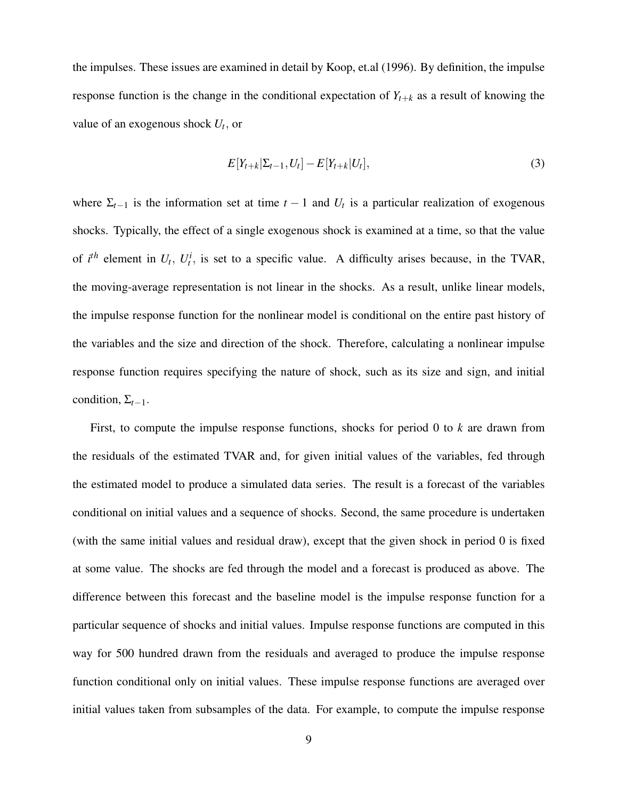the impulses. These issues are examined in detail by Koop, et.al (1996). By definition, the impulse response function is the change in the conditional expectation of  $Y_{t+k}$  as a result of knowing the value of an exogenous shock *U<sup>t</sup>* , or

$$
E[Y_{t+k}|\Sigma_{t-1}, U_t] - E[Y_{t+k}|U_t], \tag{3}
$$

where  $\Sigma_{t-1}$  is the information set at time  $t-1$  and  $U_t$  is a particular realization of exogenous shocks. Typically, the effect of a single exogenous shock is examined at a time, so that the value of  $i^{th}$  element in  $U_t$ ,  $U_t^i$ , is set to a specific value. A difficulty arises because, in the TVAR, the moving-average representation is not linear in the shocks. As a result, unlike linear models, the impulse response function for the nonlinear model is conditional on the entire past history of the variables and the size and direction of the shock. Therefore, calculating a nonlinear impulse response function requires specifying the nature of shock, such as its size and sign, and initial condition,  $\Sigma_{t-1}$ .

First, to compute the impulse response functions, shocks for period 0 to *k* are drawn from the residuals of the estimated TVAR and, for given initial values of the variables, fed through the estimated model to produce a simulated data series. The result is a forecast of the variables conditional on initial values and a sequence of shocks. Second, the same procedure is undertaken (with the same initial values and residual draw), except that the given shock in period 0 is fixed at some value. The shocks are fed through the model and a forecast is produced as above. The difference between this forecast and the baseline model is the impulse response function for a particular sequence of shocks and initial values. Impulse response functions are computed in this way for 500 hundred drawn from the residuals and averaged to produce the impulse response function conditional only on initial values. These impulse response functions are averaged over initial values taken from subsamples of the data. For example, to compute the impulse response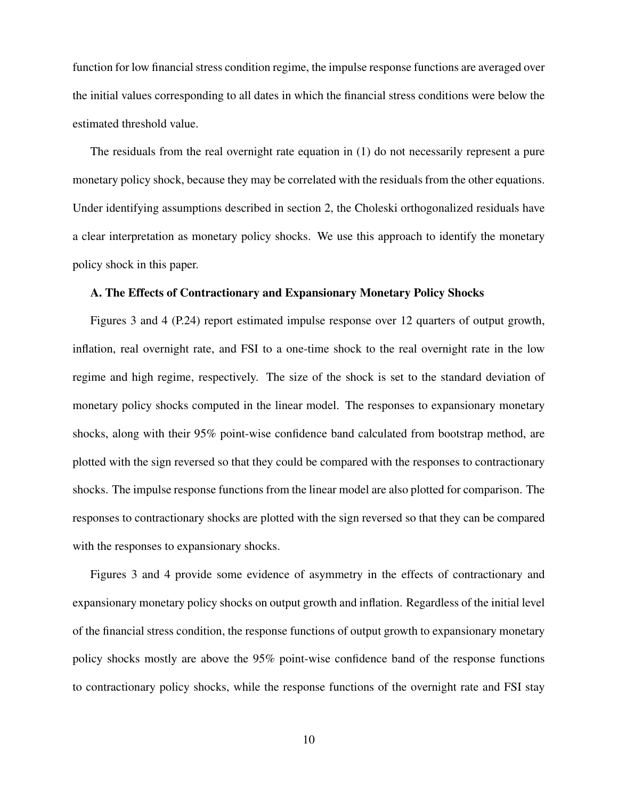function for low financial stress condition regime, the impulse response functions are averaged over the initial values corresponding to all dates in which the financial stress conditions were below the estimated threshold value.

The residuals from the real overnight rate equation in (1) do not necessarily represent a pure monetary policy shock, because they may be correlated with the residuals from the other equations. Under identifying assumptions described in section 2, the Choleski orthogonalized residuals have a clear interpretation as monetary policy shocks. We use this approach to identify the monetary policy shock in this paper.

#### A. The Effects of Contractionary and Expansionary Monetary Policy Shocks

Figures 3 and 4 (P.24) report estimated impulse response over 12 quarters of output growth, inflation, real overnight rate, and FSI to a one-time shock to the real overnight rate in the low regime and high regime, respectively. The size of the shock is set to the standard deviation of monetary policy shocks computed in the linear model. The responses to expansionary monetary shocks, along with their 95% point-wise confidence band calculated from bootstrap method, are plotted with the sign reversed so that they could be compared with the responses to contractionary shocks. The impulse response functions from the linear model are also plotted for comparison. The responses to contractionary shocks are plotted with the sign reversed so that they can be compared with the responses to expansionary shocks.

Figures 3 and 4 provide some evidence of asymmetry in the effects of contractionary and expansionary monetary policy shocks on output growth and inflation. Regardless of the initial level of the financial stress condition, the response functions of output growth to expansionary monetary policy shocks mostly are above the 95% point-wise confidence band of the response functions to contractionary policy shocks, while the response functions of the overnight rate and FSI stay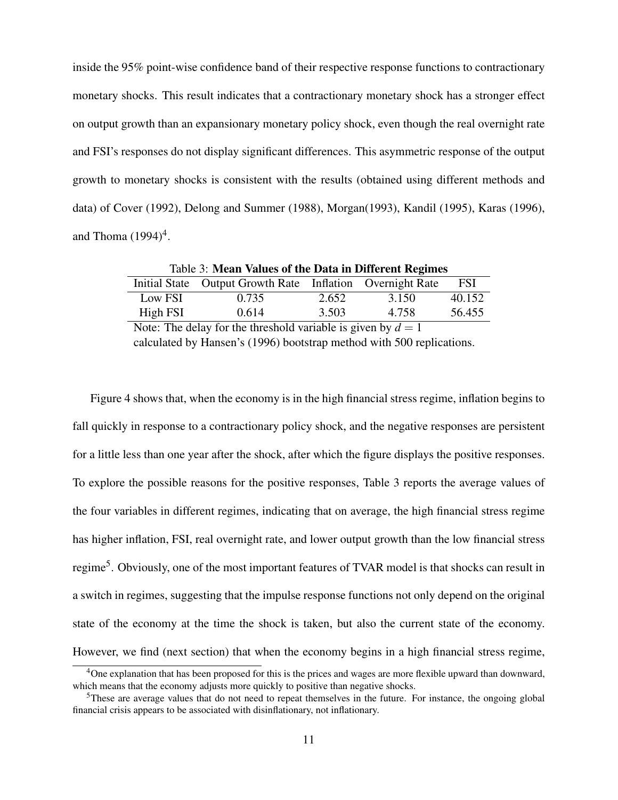inside the 95% point-wise confidence band of their respective response functions to contractionary monetary shocks. This result indicates that a contractionary monetary shock has a stronger effect on output growth than an expansionary monetary policy shock, even though the real overnight rate and FSI's responses do not display significant differences. This asymmetric response of the output growth to monetary shocks is consistent with the results (obtained using different methods and data) of Cover (1992), Delong and Summer (1988), Morgan(1993), Kandil (1995), Karas (1996), and Thoma  $(1994)^4$ .

| Table 3: Mean Values of the Data in Different Regimes |                                                           |       |       |        |  |  |
|-------------------------------------------------------|-----------------------------------------------------------|-------|-------|--------|--|--|
|                                                       | Initial State Output Growth Rate Inflation Overnight Rate |       |       | FSI    |  |  |
| Low FSI                                               | 0.735                                                     | 2.652 | 3.150 | 40.152 |  |  |
| High FSI                                              | 0.614                                                     | 3.503 | 4.758 | 56.455 |  |  |

Note: The delay for the threshold variable is given by  $d = 1$ calculated by Hansen's (1996) bootstrap method with 500 replications.

Figure 4 shows that, when the economy is in the high financial stress regime, inflation begins to fall quickly in response to a contractionary policy shock, and the negative responses are persistent for a little less than one year after the shock, after which the figure displays the positive responses. To explore the possible reasons for the positive responses, Table 3 reports the average values of the four variables in different regimes, indicating that on average, the high financial stress regime has higher inflation, FSI, real overnight rate, and lower output growth than the low financial stress regime<sup>5</sup>. Obviously, one of the most important features of TVAR model is that shocks can result in a switch in regimes, suggesting that the impulse response functions not only depend on the original state of the economy at the time the shock is taken, but also the current state of the economy. However, we find (next section) that when the economy begins in a high financial stress regime,

<sup>&</sup>lt;sup>4</sup>One explanation that has been proposed for this is the prices and wages are more flexible upward than downward, which means that the economy adjusts more quickly to positive than negative shocks.

 $5$ These are average values that do not need to repeat themselves in the future. For instance, the ongoing global financial crisis appears to be associated with disinflationary, not inflationary.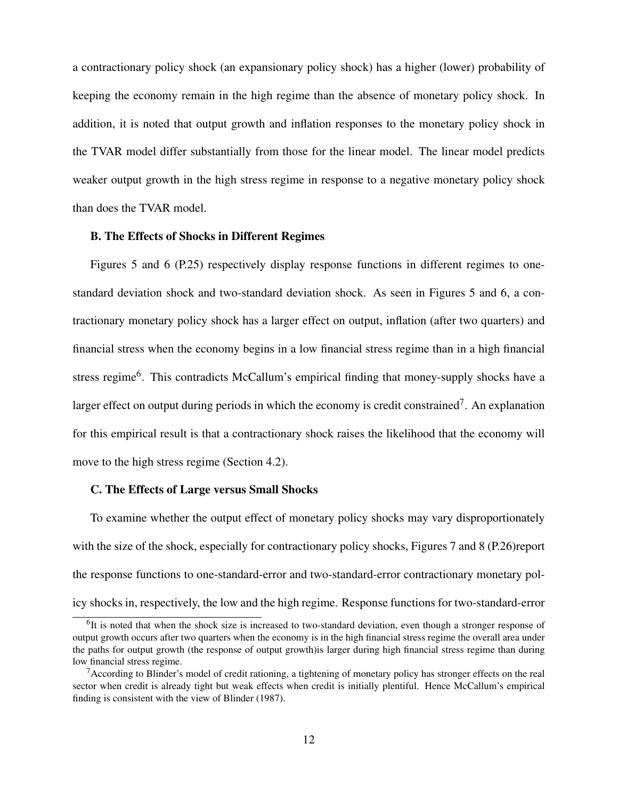a contractionary policy shock (an expansionary policy shock) has a higher (lower) probability of keeping the economy remain in the high regime than the absence of monetary policy shock. In addition, it is noted that output growth and inflation responses to the monetary policy shock in the TVAR model differ substantially from those for the linear model. The linear model predicts weaker output growth in the high stress regime in response to a negative monetary policy shock than does the TVAR model.

#### B. The Effects of Shocks in Different Regimes

Figures 5 and 6 (P.25) respectively display response functions in different regimes to onestandard deviation shock and two-standard deviation shock. As seen in Figures 5 and 6, a contractionary monetary policy shock has a larger effect on output, inflation (after two quarters) and financial stress when the economy begins in a low financial stress regime than in a high financial stress regime<sup>6</sup>. This contradicts McCallum's empirical finding that money-supply shocks have a larger effect on output during periods in which the economy is credit constrained<sup>7</sup>. An explanation for this empirical result is that a contractionary shock raises the likelihood that the economy will move to the high stress regime (Section 4.2).

#### C. The Effects of Large versus Small Shocks

To examine whether the output effect of monetary policy shocks may vary disproportionately with the size of the shock, especially for contractionary policy shocks, Figures 7 and 8 (P.26)report the response functions to one-standard-error and two-standard-error contractionary monetary policy shocks in, respectively, the low and the high regime. Response functions for two-standard-error

<sup>&</sup>lt;sup>6</sup>It is noted that when the shock size is increased to two-standard deviation, even though a stronger response of output growth occurs after two quarters when the economy is in the high financial stress regime the overall area under the paths for output growth (the response of output growth)is larger during high financial stress regime than during low financial stress regime.

 $7$ According to Blinder's model of credit rationing, a tightening of monetary policy has stronger effects on the real sector when credit is already tight but weak effects when credit is initially plentiful. Hence McCallum's empirical finding is consistent with the view of Blinder (1987).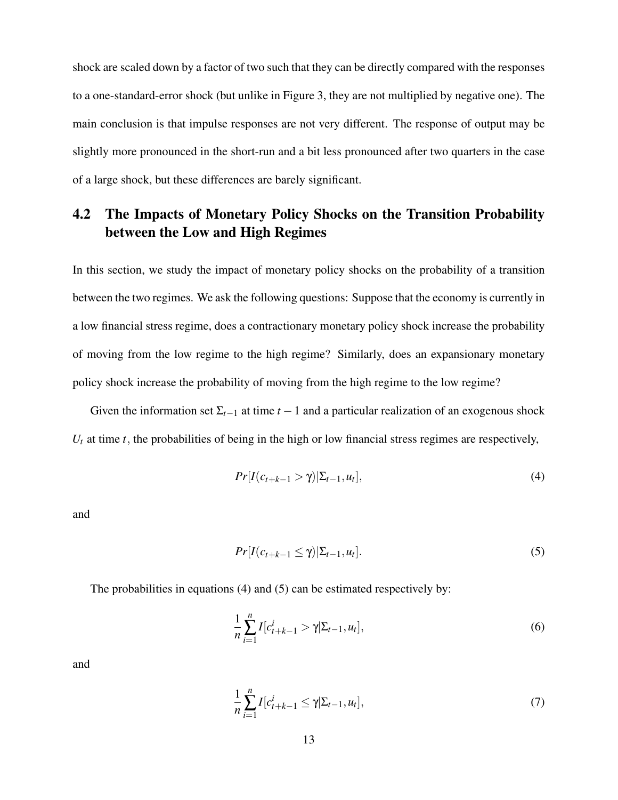shock are scaled down by a factor of two such that they can be directly compared with the responses to a one-standard-error shock (but unlike in Figure 3, they are not multiplied by negative one). The main conclusion is that impulse responses are not very different. The response of output may be slightly more pronounced in the short-run and a bit less pronounced after two quarters in the case of a large shock, but these differences are barely significant.

### 4.2 The Impacts of Monetary Policy Shocks on the Transition Probability between the Low and High Regimes

In this section, we study the impact of monetary policy shocks on the probability of a transition between the two regimes. We ask the following questions: Suppose that the economy is currently in a low financial stress regime, does a contractionary monetary policy shock increase the probability of moving from the low regime to the high regime? Similarly, does an expansionary monetary policy shock increase the probability of moving from the high regime to the low regime?

Given the information set  $\Sigma_{t-1}$  at time  $t-1$  and a particular realization of an exogenous shock  $U_t$  at time *t*, the probabilities of being in the high or low financial stress regimes are respectively,

$$
Pr[I(c_{t+k-1} > \gamma)|\Sigma_{t-1}, u_t],
$$
\n(4)

and

$$
Pr[I(c_{t+k-1} \le \gamma)|\Sigma_{t-1}, u_t]. \tag{5}
$$

The probabilities in equations (4) and (5) can be estimated respectively by:

$$
\frac{1}{n}\sum_{i=1}^{n}I[c_{t+k-1}^{i} > \gamma | \Sigma_{t-1}, u_t],
$$
\n(6)

and

$$
\frac{1}{n}\sum_{i=1}^{n}I[c_{t+k-1}^{i} \leq \gamma|\Sigma_{t-1}, u_t],\tag{7}
$$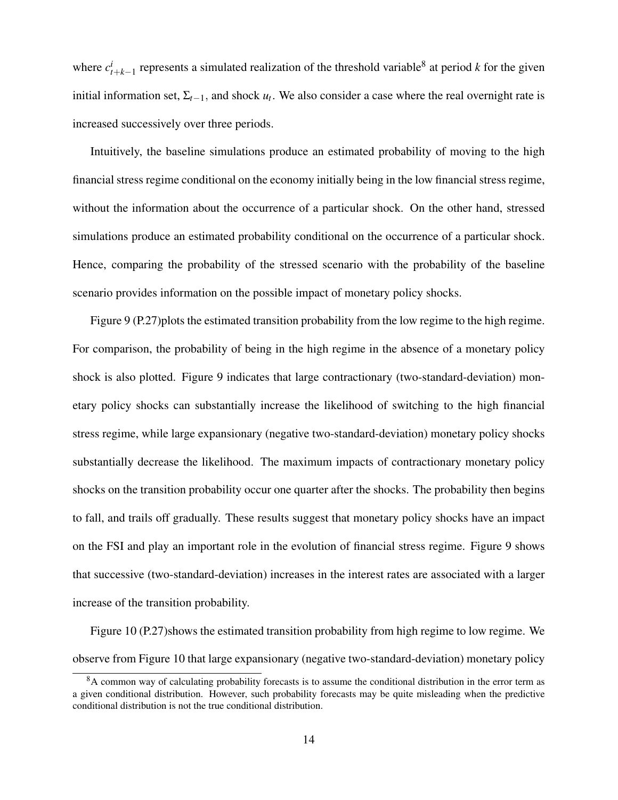where  $c_t^i$  $t_{t+k-1}$  represents a simulated realization of the threshold variable<sup>8</sup> at period *k* for the given initial information set,  $\Sigma_{t-1}$ , and shock  $u_t$ . We also consider a case where the real overnight rate is increased successively over three periods.

Intuitively, the baseline simulations produce an estimated probability of moving to the high financial stress regime conditional on the economy initially being in the low financial stress regime, without the information about the occurrence of a particular shock. On the other hand, stressed simulations produce an estimated probability conditional on the occurrence of a particular shock. Hence, comparing the probability of the stressed scenario with the probability of the baseline scenario provides information on the possible impact of monetary policy shocks.

Figure 9 (P.27) plots the estimated transition probability from the low regime to the high regime. For comparison, the probability of being in the high regime in the absence of a monetary policy shock is also plotted. Figure 9 indicates that large contractionary (two-standard-deviation) monetary policy shocks can substantially increase the likelihood of switching to the high financial stress regime, while large expansionary (negative two-standard-deviation) monetary policy shocks substantially decrease the likelihood. The maximum impacts of contractionary monetary policy shocks on the transition probability occur one quarter after the shocks. The probability then begins to fall, and trails off gradually. These results suggest that monetary policy shocks have an impact on the FSI and play an important role in the evolution of financial stress regime. Figure 9 shows that successive (two-standard-deviation) increases in the interest rates are associated with a larger increase of the transition probability.

Figure 10 (P.27)shows the estimated transition probability from high regime to low regime. We observe from Figure 10 that large expansionary (negative two-standard-deviation) monetary policy

<sup>&</sup>lt;sup>8</sup>A common way of calculating probability forecasts is to assume the conditional distribution in the error term as a given conditional distribution. However, such probability forecasts may be quite misleading when the predictive conditional distribution is not the true conditional distribution.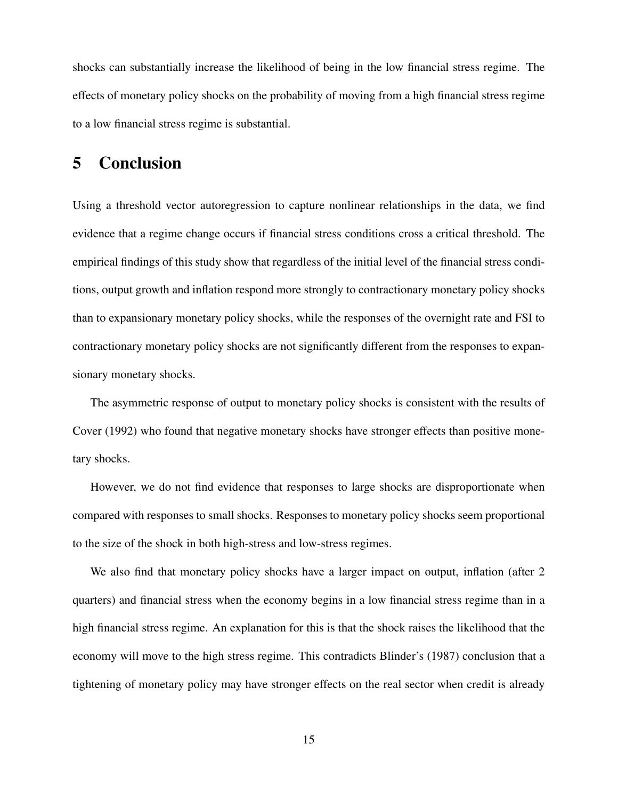shocks can substantially increase the likelihood of being in the low financial stress regime. The effects of monetary policy shocks on the probability of moving from a high financial stress regime to a low financial stress regime is substantial.

## 5 Conclusion

Using a threshold vector autoregression to capture nonlinear relationships in the data, we find evidence that a regime change occurs if financial stress conditions cross a critical threshold. The empirical findings of this study show that regardless of the initial level of the financial stress conditions, output growth and inflation respond more strongly to contractionary monetary policy shocks than to expansionary monetary policy shocks, while the responses of the overnight rate and FSI to contractionary monetary policy shocks are not significantly different from the responses to expansionary monetary shocks.

The asymmetric response of output to monetary policy shocks is consistent with the results of Cover (1992) who found that negative monetary shocks have stronger effects than positive monetary shocks.

However, we do not find evidence that responses to large shocks are disproportionate when compared with responses to small shocks. Responses to monetary policy shocks seem proportional to the size of the shock in both high-stress and low-stress regimes.

We also find that monetary policy shocks have a larger impact on output, inflation (after 2 quarters) and financial stress when the economy begins in a low financial stress regime than in a high financial stress regime. An explanation for this is that the shock raises the likelihood that the economy will move to the high stress regime. This contradicts Blinder's (1987) conclusion that a tightening of monetary policy may have stronger effects on the real sector when credit is already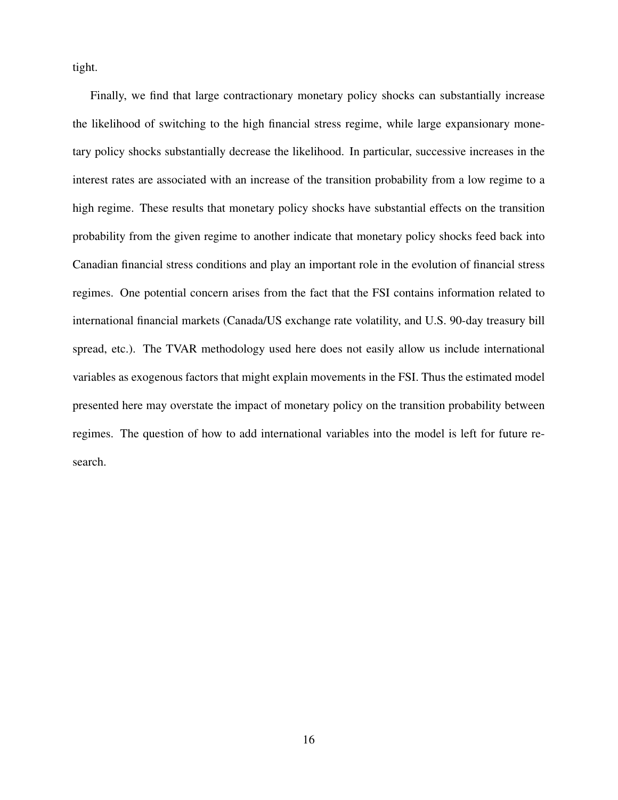tight.

Finally, we find that large contractionary monetary policy shocks can substantially increase the likelihood of switching to the high financial stress regime, while large expansionary monetary policy shocks substantially decrease the likelihood. In particular, successive increases in the interest rates are associated with an increase of the transition probability from a low regime to a high regime. These results that monetary policy shocks have substantial effects on the transition probability from the given regime to another indicate that monetary policy shocks feed back into Canadian financial stress conditions and play an important role in the evolution of financial stress regimes. One potential concern arises from the fact that the FSI contains information related to international financial markets (Canada/US exchange rate volatility, and U.S. 90-day treasury bill spread, etc.). The TVAR methodology used here does not easily allow us include international variables as exogenous factors that might explain movements in the FSI. Thus the estimated model presented here may overstate the impact of monetary policy on the transition probability between regimes. The question of how to add international variables into the model is left for future research.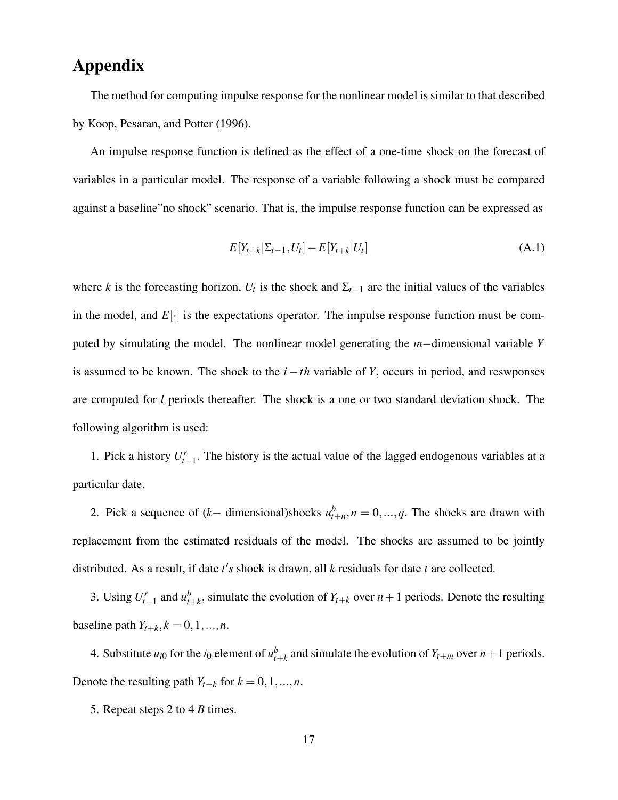## Appendix

The method for computing impulse response for the nonlinear model is similar to that described by Koop, Pesaran, and Potter (1996).

An impulse response function is defined as the effect of a one-time shock on the forecast of variables in a particular model. The response of a variable following a shock must be compared against a baseline"no shock" scenario. That is, the impulse response function can be expressed as

$$
E[Y_{t+k}|\Sigma_{t-1}, U_t] - E[Y_{t+k}|U_t]
$$
\n(A.1)

where *k* is the forecasting horizon,  $U_t$  is the shock and  $\Sigma_{t-1}$  are the initial values of the variables in the model, and  $E[\cdot]$  is the expectations operator. The impulse response function must be computed by simulating the model. The nonlinear model generating the *m*−dimensional variable *Y* is assumed to be known. The shock to the *i* −*th* variable of *Y*, occurs in period, and reswponses are computed for *l* periods thereafter. The shock is a one or two standard deviation shock. The following algorithm is used:

1. Pick a history  $U_{t-1}^r$ . The history is the actual value of the lagged endogenous variables at a particular date.

2. Pick a sequence of  $(k-$  dimensional)shocks  $u_{t+n}^b$ ,  $n = 0, ..., q$ . The shocks are drawn with replacement from the estimated residuals of the model. The shocks are assumed to be jointly distributed. As a result, if date  $t's$  shock is drawn, all  $k$  residuals for date  $t$  are collected.

3. Using  $U_{t-1}^r$  and  $u_t^b$  $t_{t+k}$ , simulate the evolution of  $Y_{t+k}$  over  $n+1$  periods. Denote the resulting baseline path  $Y_{t+k}$ ,  $k = 0, 1, ..., n$ .

4. Substitute  $u_{i0}$  for the  $i_0$  element of  $u_t^b$  $t_{t+k}^b$  and simulate the evolution of  $Y_{t+m}$  over  $n+1$  periods. Denote the resulting path  $Y_{t+k}$  for  $k = 0, 1, \ldots, n$ .

5. Repeat steps 2 to 4 *B* times.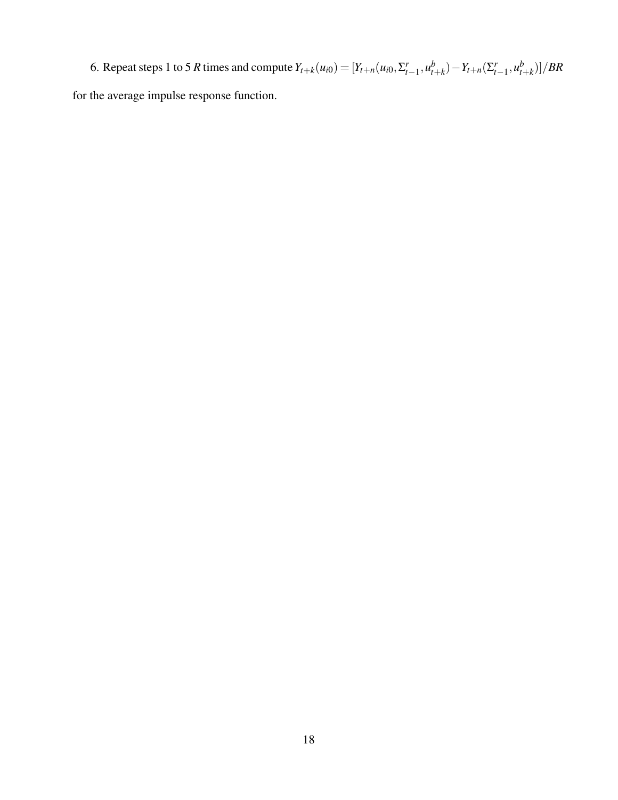6. Repeat steps 1 to 5 *R* times and compute  $Y_{t+k}(u_{i0}) = [Y_{t+n}(u_{i0}, \Sigma_{t-1}^r, u_{t}^b)]$  $(Y_{t+k}) - Y_{t+n}(\Sigma_{t-1}^r, u_t^b)$  $_{t+k}^{b})]/BR$ for the average impulse response function.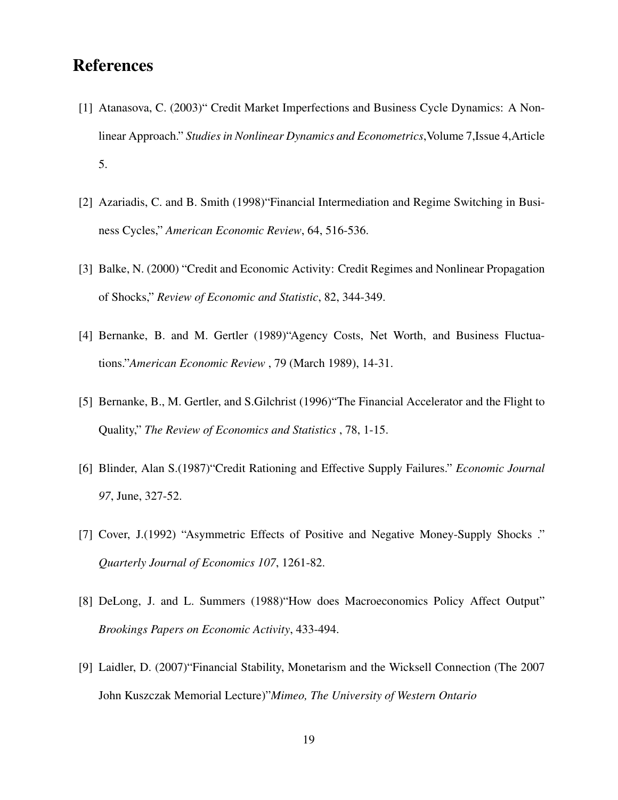## **References**

- [1] Atanasova, C. (2003)" Credit Market Imperfections and Business Cycle Dynamics: A Nonlinear Approach." *Studies in Nonlinear Dynamics and Econometrics*,Volume 7,Issue 4,Article 5.
- [2] Azariadis, C. and B. Smith (1998)"Financial Intermediation and Regime Switching in Business Cycles," *American Economic Review*, 64, 516-536.
- [3] Balke, N. (2000) "Credit and Economic Activity: Credit Regimes and Nonlinear Propagation of Shocks," *Review of Economic and Statistic*, 82, 344-349.
- [4] Bernanke, B. and M. Gertler (1989)"Agency Costs, Net Worth, and Business Fluctuations."*American Economic Review* , 79 (March 1989), 14-31.
- [5] Bernanke, B., M. Gertler, and S. Gilchrist (1996) "The Financial Accelerator and the Flight to Quality," *The Review of Economics and Statistics* , 78, 1-15.
- [6] Blinder, Alan S.(1987)"Credit Rationing and Effective Supply Failures." *Economic Journal 97*, June, 327-52.
- [7] Cover, J.(1992) "Asymmetric Effects of Positive and Negative Money-Supply Shocks ." *Quarterly Journal of Economics 107*, 1261-82.
- [8] DeLong, J. and L. Summers (1988)"How does Macroeconomics Policy Affect Output" *Brookings Papers on Economic Activity*, 433-494.
- [9] Laidler, D. (2007)"Financial Stability, Monetarism and the Wicksell Connection (The 2007 John Kuszczak Memorial Lecture)"*Mimeo, The University of Western Ontario*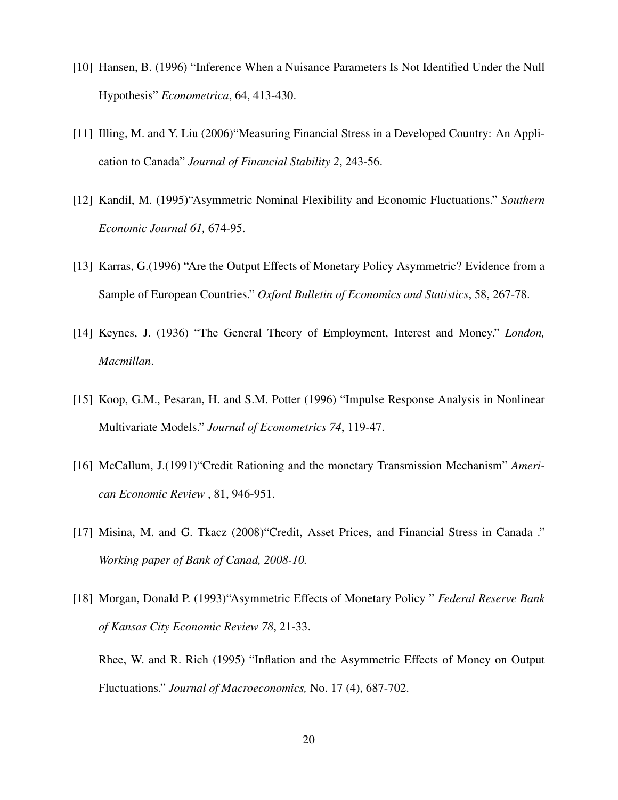- [10] Hansen, B. (1996) "Inference When a Nuisance Parameters Is Not Identified Under the Null Hypothesis" *Econometrica*, 64, 413-430.
- [11] Illing, M. and Y. Liu (2006)"Measuring Financial Stress in a Developed Country: An Application to Canada" *Journal of Financial Stability 2*, 243-56.
- [12] Kandil, M. (1995)"Asymmetric Nominal Flexibility and Economic Fluctuations." *Southern Economic Journal 61,* 674-95.
- [13] Karras, G.(1996) "Are the Output Effects of Monetary Policy Asymmetric? Evidence from a Sample of European Countries." *Oxford Bulletin of Economics and Statistics*, 58, 267-78.
- [14] Keynes, J. (1936) "The General Theory of Employment, Interest and Money." *London, Macmillan*.
- [15] Koop, G.M., Pesaran, H. and S.M. Potter (1996) "Impulse Response Analysis in Nonlinear Multivariate Models." *Journal of Econometrics 74*, 119-47.
- [16] McCallum, J.(1991)"Credit Rationing and the monetary Transmission Mechanism" *American Economic Review* , 81, 946-951.
- [17] Misina, M. and G. Tkacz (2008)"Credit, Asset Prices, and Financial Stress in Canada ." *Working paper of Bank of Canad, 2008-10.*
- [18] Morgan, Donald P. (1993)"Asymmetric Effects of Monetary Policy " *Federal Reserve Bank of Kansas City Economic Review 78*, 21-33.

Rhee, W. and R. Rich (1995) "Inflation and the Asymmetric Effects of Money on Output Fluctuations." *Journal of Macroeconomics,* No. 17 (4), 687-702.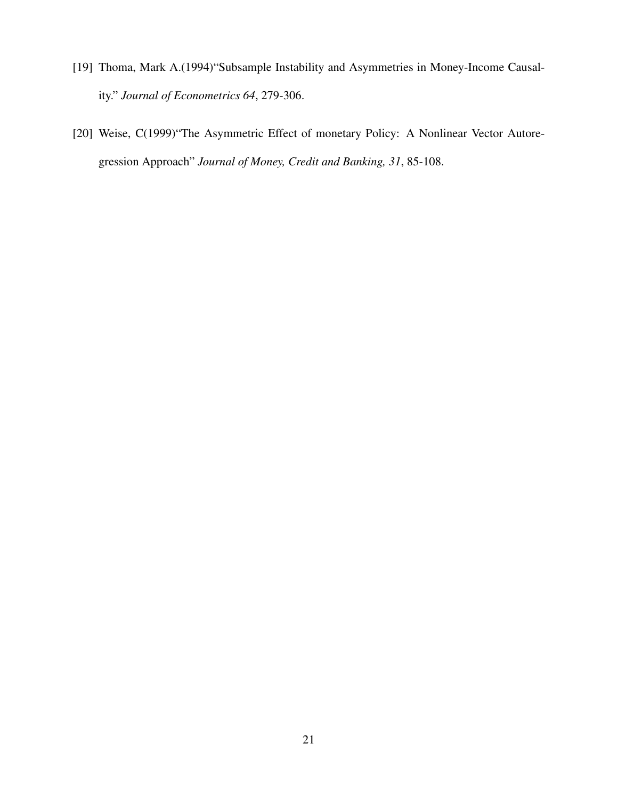- [19] Thoma, Mark A.(1994)"Subsample Instability and Asymmetries in Money-Income Causality." *Journal of Econometrics 64*, 279-306.
- [20] Weise, C(1999)"The Asymmetric Effect of monetary Policy: A Nonlinear Vector Autoregression Approach" *Journal of Money, Credit and Banking, 31*, 85-108.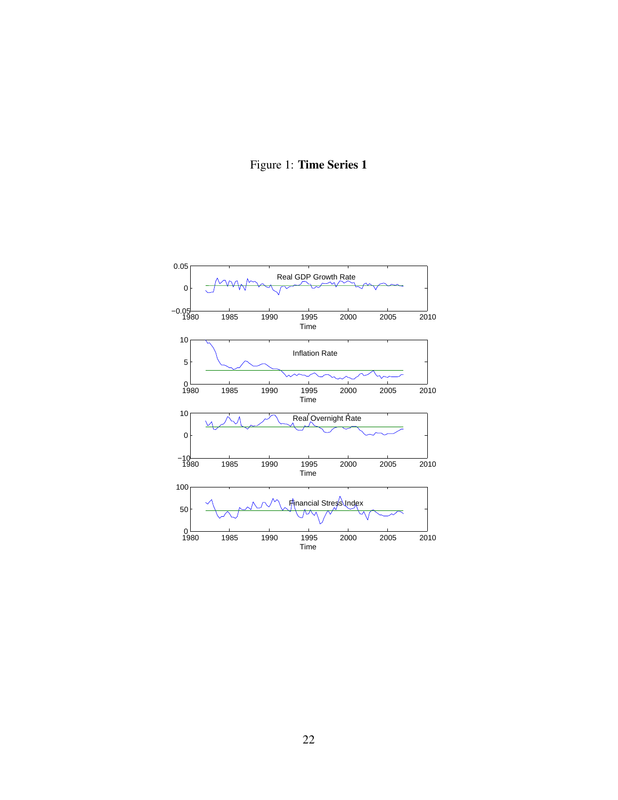## Figure 1: Time Series 1

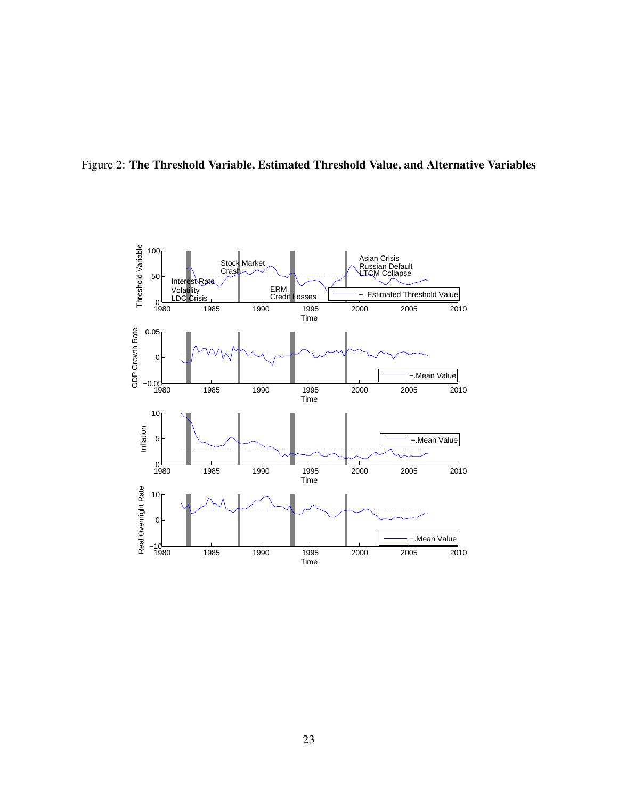

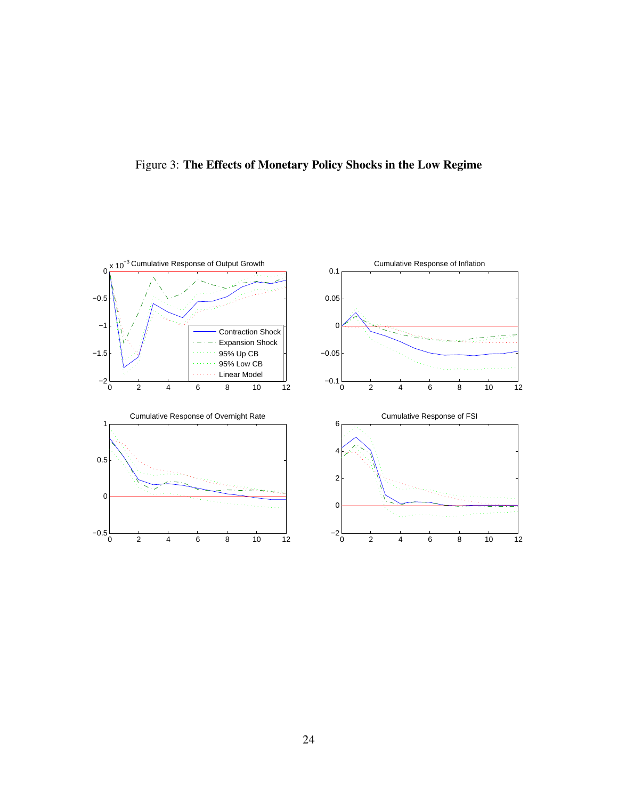

Figure 3: The Effects of Monetary Policy Shocks in the Low Regime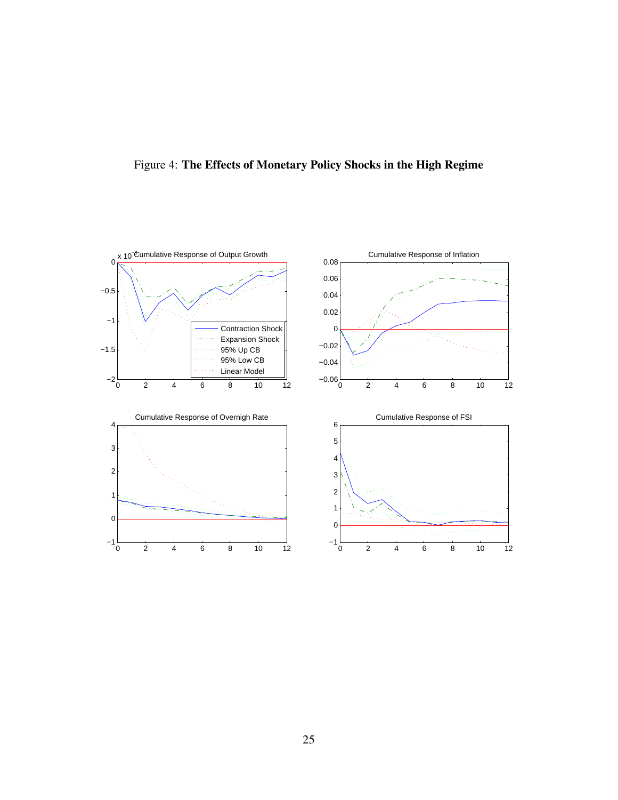

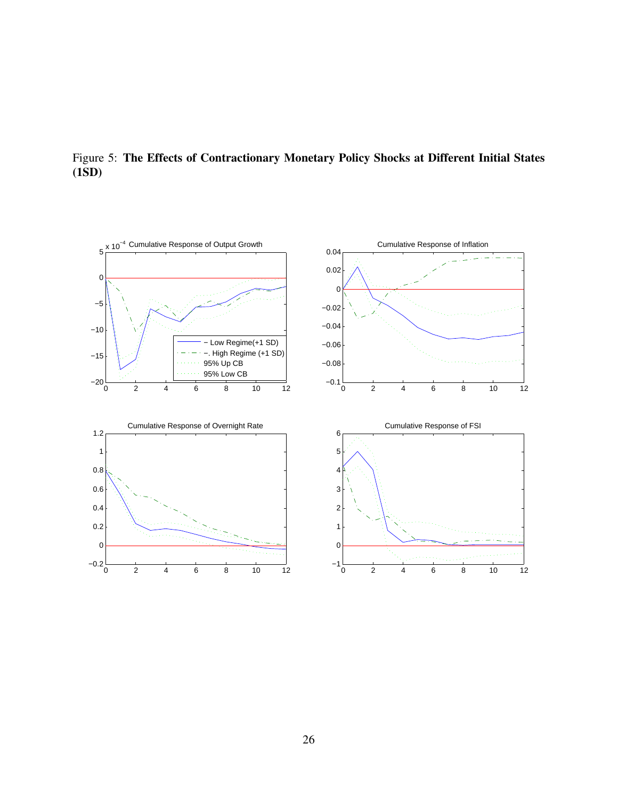

Figure 5: The Effects of Contractionary Monetary Policy Shocks at Different Initial States (1SD)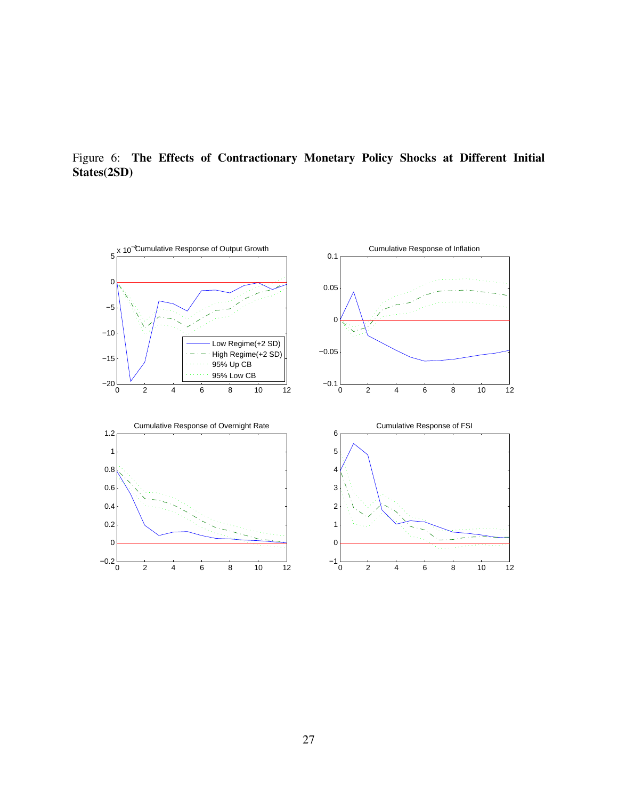

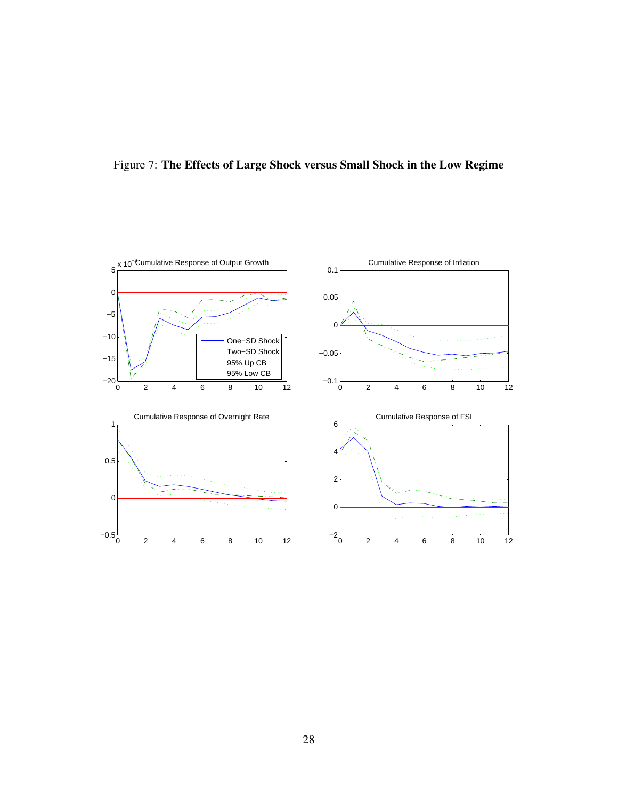

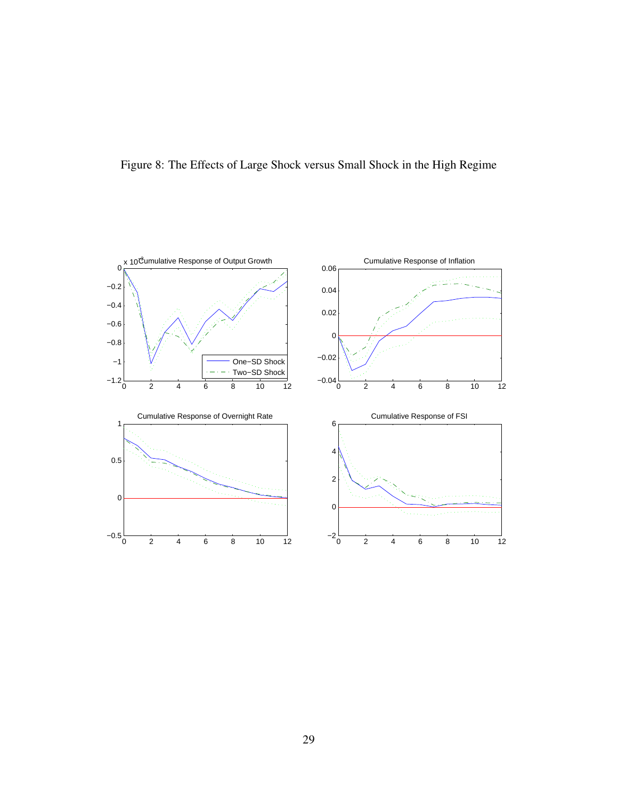

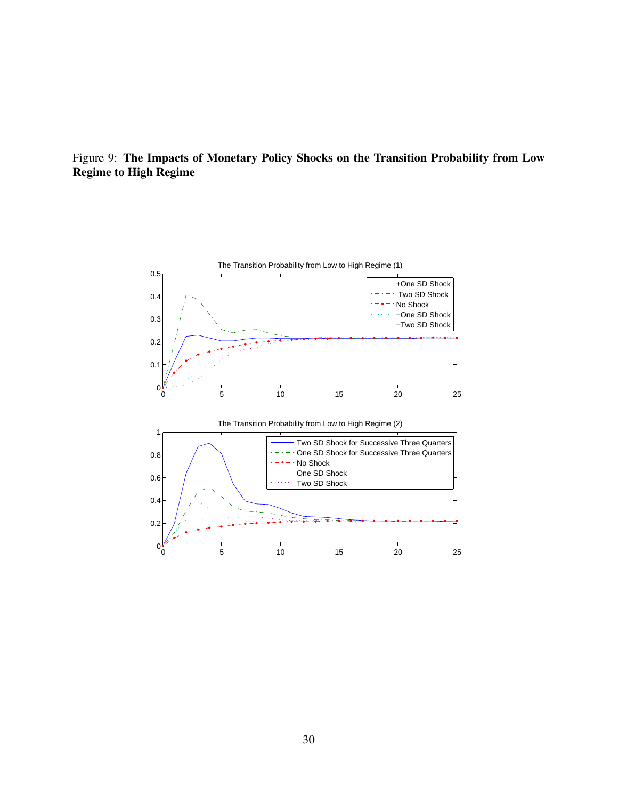